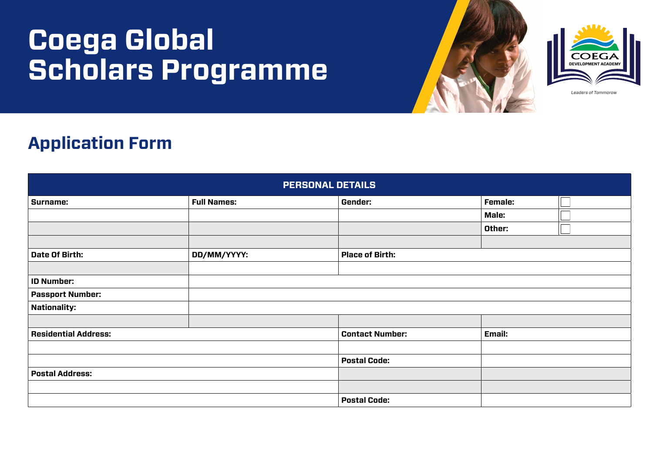## **Coega Global Scholars Programme**





Leaders of Tommorow

## **Application Form**

| <b>PERSONAL DETAILS</b>     |                    |                        |         |  |  |
|-----------------------------|--------------------|------------------------|---------|--|--|
| Surname:                    | <b>Full Names:</b> | Gender:                | Female: |  |  |
|                             |                    |                        | Male:   |  |  |
|                             |                    |                        | Other:  |  |  |
|                             |                    |                        |         |  |  |
| Date Of Birth:              | DD/MM/YYYY:        | <b>Place of Birth:</b> |         |  |  |
|                             |                    |                        |         |  |  |
| <b>ID Number:</b>           |                    |                        |         |  |  |
| <b>Passport Number:</b>     |                    |                        |         |  |  |
| <b>Nationality:</b>         |                    |                        |         |  |  |
|                             |                    |                        |         |  |  |
| <b>Residential Address:</b> |                    | <b>Contact Number:</b> | Email:  |  |  |
|                             |                    |                        |         |  |  |
|                             |                    | <b>Postal Code:</b>    |         |  |  |
| <b>Postal Address:</b>      |                    |                        |         |  |  |
|                             |                    |                        |         |  |  |
|                             |                    | <b>Postal Code:</b>    |         |  |  |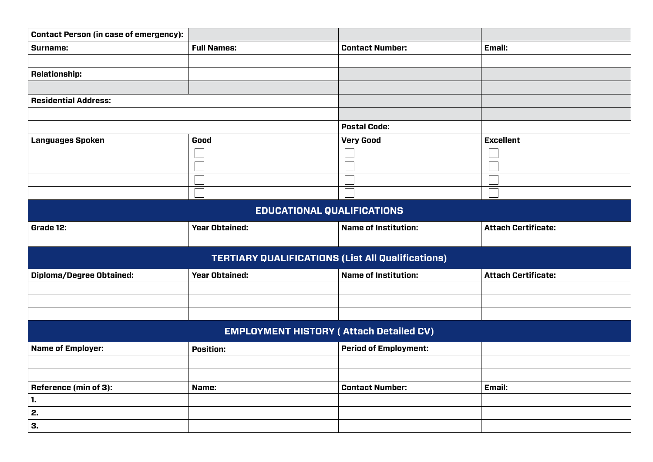| <b>Contact Person (in case of emergency):</b>            |                       |                              |                            |  |  |
|----------------------------------------------------------|-----------------------|------------------------------|----------------------------|--|--|
| Surname:                                                 | <b>Full Names:</b>    | <b>Contact Number:</b>       | Email:                     |  |  |
|                                                          |                       |                              |                            |  |  |
| <b>Relationship:</b>                                     |                       |                              |                            |  |  |
|                                                          |                       |                              |                            |  |  |
| <b>Residential Address:</b>                              |                       |                              |                            |  |  |
|                                                          |                       |                              |                            |  |  |
|                                                          |                       | <b>Postal Code:</b>          |                            |  |  |
| <b>Languages Spoken</b>                                  | Good                  | <b>Very Good</b>             | <b>Excellent</b>           |  |  |
|                                                          |                       |                              |                            |  |  |
|                                                          |                       |                              |                            |  |  |
|                                                          |                       |                              |                            |  |  |
|                                                          |                       |                              |                            |  |  |
| <b>EDUCATIONAL QUALIFICATIONS</b>                        |                       |                              |                            |  |  |
| Grade 12:                                                | <b>Year Obtained:</b> | <b>Name of Institution:</b>  | <b>Attach Certificate:</b> |  |  |
|                                                          |                       |                              |                            |  |  |
| <b>TERTIARY QUALIFICATIONS (List All Qualifications)</b> |                       |                              |                            |  |  |
| <b>Diploma/Degree Obtained:</b>                          | <b>Year Obtained:</b> | <b>Name of Institution:</b>  | <b>Attach Certificate:</b> |  |  |
|                                                          |                       |                              |                            |  |  |
|                                                          |                       |                              |                            |  |  |
|                                                          |                       |                              |                            |  |  |
| <b>EMPLOYMENT HISTORY (Attach Detailed CV)</b>           |                       |                              |                            |  |  |
| <b>Name of Employer:</b>                                 | <b>Position:</b>      | <b>Period of Employment:</b> |                            |  |  |
|                                                          |                       |                              |                            |  |  |
|                                                          |                       |                              |                            |  |  |
| <b>Reference (min of 3):</b>                             | Name:                 | <b>Contact Number:</b>       | Email:                     |  |  |
| 1.                                                       |                       |                              |                            |  |  |
| 2.                                                       |                       |                              |                            |  |  |
| 3.                                                       |                       |                              |                            |  |  |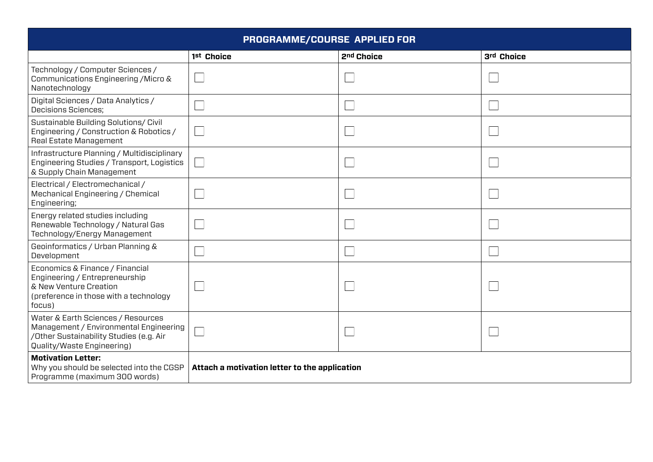| PROGRAMME/COURSE APPLIED FOR                                                                                                                          |                                               |            |            |  |
|-------------------------------------------------------------------------------------------------------------------------------------------------------|-----------------------------------------------|------------|------------|--|
|                                                                                                                                                       | 1st Choice                                    | 2nd Choice | 3rd Choice |  |
| Technology / Computer Sciences /<br>Communications Engineering / Micro &<br>Nanotechnology                                                            |                                               |            |            |  |
| Digital Sciences / Data Analytics /<br><b>Decisions Sciences;</b>                                                                                     |                                               |            |            |  |
| Sustainable Building Solutions/ Civil<br>Engineering / Construction & Robotics /<br>Real Estate Management                                            |                                               |            |            |  |
| Infrastructure Planning / Multidisciplinary<br>Engineering Studies / Transport, Logistics<br>& Supply Chain Management                                |                                               |            |            |  |
| Electrical / Electromechanical /<br>Mechanical Engineering / Chemical<br>Engineering;                                                                 |                                               |            |            |  |
| Energy related studies including<br>Renewable Technology / Natural Gas<br>Technology/Energy Management                                                |                                               |            |            |  |
| Geoinformatics / Urban Planning &<br>Development                                                                                                      |                                               |            |            |  |
| Economics & Finance / Financial<br>Engineering / Entrepreneurship<br>& New Venture Creation<br>(preference in those with a technology<br>focus)       |                                               |            |            |  |
| Water & Earth Sciences / Resources<br>Management / Environmental Engineering<br>/Other Sustainability Studies (e.g. Air<br>Quality/Waste Engineering) |                                               |            |            |  |
| <b>Motivation Letter:</b><br>Why you should be selected into the CGSP<br>Programme (maximum 300 words)                                                | Attach a motivation letter to the application |            |            |  |